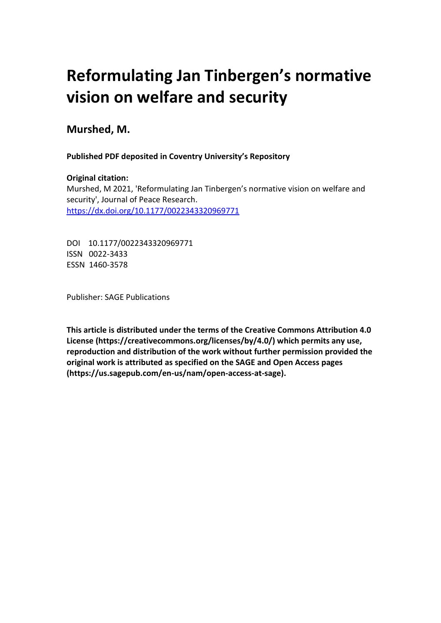# **Reformulating Jan Tinbergen's normative vision on welfare and security**

## **Murshed, M.**

 **Published PDF deposited in Coventry University's Repository**

### **Original citation:**

 Murshed, M 2021, 'Reformulating Jan Tinbergen's normative vision on welfare and security', Journal of Peace Research. https://dx.doi.org/10.1177/0022343320969771

 DOI 10.1177/0022343320969771 ISSN 0022-3433 ESSN 1460-3578

Publisher: SAGE Publications

 **This article is distributed under the terms of the Creative Commons Attribution 4.0 License (https://creativecommons.org/licenses/by/4.0/) which permits any use, reproduction and distribution of the work without further permission provided the original work is attributed as specified on the SAGE and Open Access pages (https://us.sagepub.com/en-us/nam/open-access-at-sage).**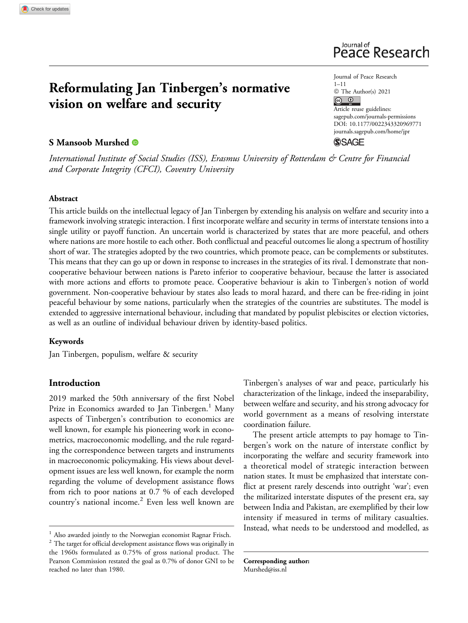## Reformulating Jan Tinbergen's normative vision on welfare and security

#### S Mansoob Murshed <sup>®</sup>



Journal of Peace Research 1–11  $\circledcirc$  The Author(s) 2021 Article reuse guidelines: [sagepub.com/journals-permissions](https://sagepub.com/journals-permissions) [DOI: 10.1177/0022343320969771](https://doi.org/10.1177/0022343320969771)  [journals.sagepub.com/home/jpr](http://journals.sagepub.com/home/jpr)  **SSAGE** 

International Institute of Social Studies (ISS), Erasmus University of Rotterdam & Centre for Financial and Corporate Integrity (CFCI), Coventry University

#### Abstract

This article builds on the intellectual legacy of Jan Tinbergen by extending his analysis on welfare and security into a framework involving strategic interaction. I first incorporate welfare and security in terms of interstate tensions into a single utility or payoff function. An uncertain world is characterized by states that are more peaceful, and others where nations are more hostile to each other. Both conflictual and peaceful outcomes lie along a spectrum of hostility short of war. The strategies adopted by the two countries, which promote peace, can be complements or substitutes. This means that they can go up or down in response to increases in the strategies of its rival. I demonstrate that noncooperative behaviour between nations is Pareto inferior to cooperative behaviour, because the latter is associated with more actions and efforts to promote peace. Cooperative behaviour is akin to Tinbergen's notion of world government. Non-cooperative behaviour by states also leads to moral hazard, and there can be free-riding in joint peaceful behaviour by some nations, particularly when the strategies of the countries are substitutes. The model is extended to aggressive international behaviour, including that mandated by populist plebiscites or election victories, as well as an outline of individual behaviour driven by identity-based politics.

#### Keywords

Jan Tinbergen, populism, welfare & security

#### Introduction

2019 marked the 50th anniversary of the first Nobel Prize in Economics awarded to Jan Tinbergen.<sup>1</sup> Many aspects of Tinbergen's contribution to economics are well known, for example his pioneering work in econometrics, macroeconomic modelling, and the rule regarding the correspondence between targets and instruments in macroeconomic policymaking. His views about development issues are less well known, for example the norm regarding the volume of development assistance flows from rich to poor nations at 0.7 % of each developed country's national income. $2$  Even less well known are

<sup>1</sup> Also awarded jointly to the Norwegian economist Ragnar Frisch.

 $^{\rm 2}$  The target for official development assistance flows was originally in the 1960s formulated as 0.75% of gross national product. The Pearson Commission restated the goal as 0.7% of donor GNI to be reached no later than 1980.

Tinbergen's analyses of war and peace, particularly his characterization of the linkage, indeed the inseparability, between welfare and security, and his strong advocacy for world government as a means of resolving interstate coordination failure.

The present article attempts to pay homage to Tinbergen's work on the nature of interstate conflict by incorporating the welfare and security framework into a theoretical model of strategic interaction between nation states. It must be emphasized that interstate conflict at present rarely descends into outright 'war'; even the militarized interstate disputes of the present era, say between India and Pakistan, are exemplified by their low intensity if measured in terms of military casualties. Instead, what needs to be understood and modelled, as

Corresponding author: [Murshed@iss.nl](mailto:Murshed@iss.nl)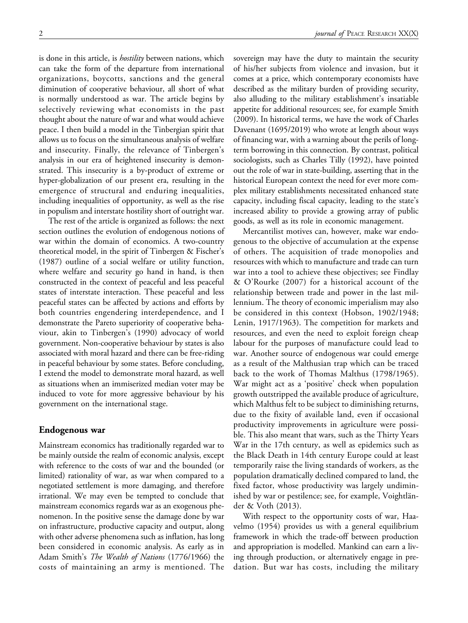is done in this article, is *hostility* between nations, which can take the form of the departure from international organizations, boycotts, sanctions and the general diminution of cooperative behaviour, all short of what is normally understood as war. The article begins by selectively reviewing what economists in the past thought about the nature of war and what would achieve peace. I then build a model in the Tinbergian spirit that allows us to focus on the simultaneous analysis of welfare and insecurity. Finally, the relevance of Tinbergen's analysis in our era of heightened insecurity is demonstrated. This insecurity is a by-product of extreme or hyper-globalization of our present era, resulting in the emergence of structural and enduring inequalities, including inequalities of opportunity, as well as the rise in populism and interstate hostility short of outright war.

The rest of the article is organized as follows: the next section outlines the evolution of endogenous notions of war within the domain of economics. A two-country theoretical model, in the spirit of Tinbergen & Fischer's (1987) outline of a social welfare or utility function, where welfare and security go hand in hand, is then constructed in the context of peaceful and less peaceful states of interstate interaction. These peaceful and less peaceful states can be affected by actions and efforts by both countries engendering interdependence, and I demonstrate the Pareto superiority of cooperative behaviour, akin to Tinbergen's (1990) advocacy of world government. Non-cooperative behaviour by states is also associated with moral hazard and there can be free-riding in peaceful behaviour by some states. Before concluding, I extend the model to demonstrate moral hazard, as well as situations when an immiserized median voter may be induced to vote for more aggressive behaviour by his government on the international stage.

#### Endogenous war

Mainstream economics has traditionally regarded war to be mainly outside the realm of economic analysis, except with reference to the costs of war and the bounded (or limited) rationality of war, as war when compared to a negotiated settlement is more damaging, and therefore irrational. We may even be tempted to conclude that mainstream economics regards war as an exogenous phenomenon. In the positive sense the damage done by war on infrastructure, productive capacity and output, along with other adverse phenomena such as inflation, has long been considered in economic analysis. As early as in Adam Smith's The Wealth of Nations (1776/1966) the costs of maintaining an army is mentioned. The

sovereign may have the duty to maintain the security of his/her subjects from violence and invasion, but it comes at a price, which contemporary economists have described as the military burden of providing security, also alluding to the military establishment's insatiable appetite for additional resources; see, for example Smith (2009). In historical terms, we have the work of Charles Davenant (1695/2019) who wrote at length about ways of financing war, with a warning about the perils of longterm borrowing in this connection. By contrast, political sociologists, such as Charles Tilly (1992), have pointed out the role of war in state-building, asserting that in the historical European context the need for ever more complex military establishments necessitated enhanced state capacity, including fiscal capacity, leading to the state's increased ability to provide a growing array of public goods, as well as its role in economic management.

Mercantilist motives can, however, make war endogenous to the objective of accumulation at the expense of others. The acquisition of trade monopolies and resources with which to manufacture and trade can turn war into a tool to achieve these objectives; see Findlay & O'Rourke (2007) for a historical account of the relationship between trade and power in the last millennium. The theory of economic imperialism may also be considered in this context (Hobson, 1902/1948; Lenin, 1917/1963). The competition for markets and resources, and even the need to exploit foreign cheap labour for the purposes of manufacture could lead to war. Another source of endogenous war could emerge as a result of the Malthusian trap which can be traced back to the work of Thomas Malthus (1798/1965). War might act as a 'positive' check when population growth outstripped the available produce of agriculture, which Malthus felt to be subject to diminishing returns, due to the fixity of available land, even if occasional productivity improvements in agriculture were possible. This also meant that wars, such as the Thirty Years War in the 17th century, as well as epidemics such as the Black Death in 14th century Europe could at least temporarily raise the living standards of workers, as the population dramatically declined compared to land, the fixed factor, whose productivity was largely undiminished by war or pestilence; see, for example, Voightländer & Voth (2013).

With respect to the opportunity costs of war, Haavelmo (1954) provides us with a general equilibrium framework in which the trade-off between production and appropriation is modelled. Mankind can earn a living through production, or alternatively engage in predation. But war has costs, including the military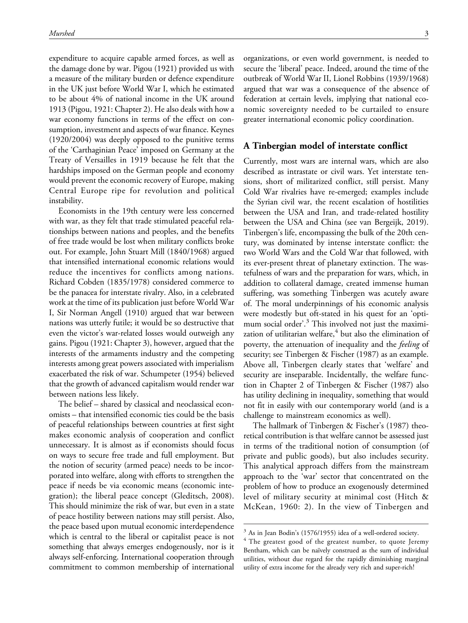expenditure to acquire capable armed forces, as well as the damage done by war. Pigou (1921) provided us with a measure of the military burden or defence expenditure in the UK just before World War I, which he estimated to be about 4% of national income in the UK around 1913 (Pigou, 1921: Chapter 2). He also deals with how a war economy functions in terms of the effect on consumption, investment and aspects of war finance. Keynes (1920/2004) was deeply opposed to the punitive terms of the 'Carthaginian Peace' imposed on Germany at the Treaty of Versailles in 1919 because he felt that the hardships imposed on the German people and economy would prevent the economic recovery of Europe, making Central Europe ripe for revolution and political instability.

Economists in the 19th century were less concerned with war, as they felt that trade stimulated peaceful relationships between nations and peoples, and the benefits of free trade would be lost when military conflicts broke out. For example, John Stuart Mill (1840/1968) argued that intensified international economic relations would reduce the incentives for conflicts among nations. Richard Cobden (1835/1978) considered commerce to be the panacea for interstate rivalry. Also, in a celebrated work at the time of its publication just before World War I, Sir Norman Angell (1910) argued that war between nations was utterly futile; it would be so destructive that even the victor's war-related losses would outweigh any gains. Pigou (1921: Chapter 3), however, argued that the interests of the armaments industry and the competing interests among great powers associated with imperialism exacerbated the risk of war. Schumpeter (1954) believed that the growth of advanced capitalism would render war between nations less likely.

The belief – shared by classical and neoclassical economists – that intensified economic ties could be the basis of peaceful relationships between countries at first sight makes economic analysis of cooperation and conflict unnecessary. It is almost as if economists should focus on ways to secure free trade and full employment. But the notion of security (armed peace) needs to be incorporated into welfare, along with efforts to strengthen the peace if needs be via economic means (economic integration); the liberal peace concept (Gleditsch, 2008). This should minimize the risk of war, but even in a state of peace hostility between nations may still persist. Also, the peace based upon mutual economic interdependence which is central to the liberal or capitalist peace is not something that always emerges endogenously, nor is it always self-enforcing. International cooperation through commitment to common membership of international

organizations, or even world government, is needed to secure the 'liberal' peace. Indeed, around the time of the outbreak of World War II, Lionel Robbins (1939/1968) argued that war was a consequence of the absence of federation at certain levels, implying that national economic sovereignty needed to be curtailed to ensure greater international economic policy coordination.

#### A Tinbergian model of interstate conflict

Currently, most wars are internal wars, which are also described as intrastate or civil wars. Yet interstate tensions, short of militarized conflict, still persist. Many Cold War rivalries have re-emerged; examples include the Syrian civil war, the recent escalation of hostilities between the USA and Iran, and trade-related hostility between the USA and China (see van Bergeijk, 2019). Tinbergen's life, encompassing the bulk of the 20th century, was dominated by intense interstate conflict: the two World Wars and the Cold War that followed, with its ever-present threat of planetary extinction. The wastefulness of wars and the preparation for wars, which, in addition to collateral damage, created immense human suffering, was something Tinbergen was acutely aware of. The moral underpinnings of his economic analysis were modestly but oft-stated in his quest for an 'optimum social order'.<sup>3</sup> This involved not just the maximization of utilitarian welfare, $4$  but also the elimination of poverty, the attenuation of inequality and the *feeling* of security; see Tinbergen & Fischer (1987) as an example. Above all, Tinbergen clearly states that 'welfare' and security are inseparable. Incidentally, the welfare function in Chapter 2 of Tinbergen & Fischer (1987) also has utility declining in inequality, something that would not fit in easily with our contemporary world (and is a challenge to mainstream economics as well).

The hallmark of Tinbergen & Fischer's (1987) theoretical contribution is that welfare cannot be assessed just in terms of the traditional notion of consumption (of private and public goods), but also includes security. This analytical approach differs from the mainstream approach to the 'war' sector that concentrated on the problem of how to produce an exogenously determined level of military security at minimal cost (Hitch & McKean, 1960: 2). In the view of Tinbergen and

<sup>3</sup> As in Jean Bodin's (1576/1955) idea of a well-ordered society.

<sup>&</sup>lt;sup>4</sup> The greatest good of the greatest number, to quote Jeremy Bentham, which can be naïvely construed as the sum of individual utilities, without due regard for the rapidly diminishing marginal utility of extra income for the already very rich and super-rich!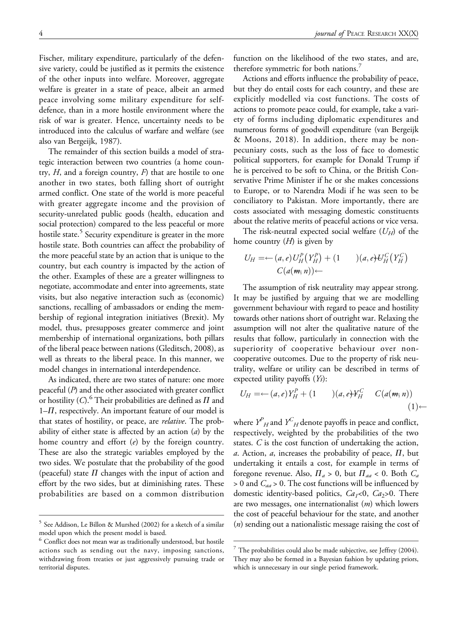Fischer, military expenditure, particularly of the defensive variety, could be justified as it permits the existence of the other inputs into welfare. Moreover, aggregate welfare is greater in a state of peace, albeit an armed peace involving some military expenditure for selfdefence, than in a more hostile environment where the risk of war is greater. Hence, uncertainty needs to be introduced into the calculus of warfare and welfare (see also van Bergeijk, 1987).

The remainder of this section builds a model of strategic interaction between two countries (a home country,  $H$ , and a foreign country,  $F$ ) that are hostile to one another in two states, both falling short of outright armed conflict. One state of the world is more peaceful with greater aggregate income and the provision of security-unrelated public goods (health, education and social protection) compared to the less peaceful or more hostile state.<sup>5</sup> Security expenditure is greater in the more hostile state. Both countries can affect the probability of the more peaceful state by an action that is unique to the country, but each country is impacted by the action of the other. Examples of these are a greater willingness to negotiate, accommodate and enter into agreements, state visits, but also negative interaction such as (economic) sanctions, recalling of ambassadors or ending the membership of regional integration initiatives (Brexit). My model, thus, presupposes greater commerce and joint membership of international organizations, both pillars of the liberal peace between nations (Gleditsch, 2008), as well as threats to the liberal peace. In this manner, we model changes in international interdependence.

As indicated, there are two states of nature: one more peaceful  $(P)$  and the other associated with greater conflict or hostility (C).<sup>6</sup> Their probabilities are defined as  $\Pi$  and  $1-H$ , respectively. An important feature of our model is that states of hostility, or peace, are relative. The probability of either state is affected by an action  $(a)$  by the home country and effort  $(e)$  by the foreign country. These are also the strategic variables employed by the two sides. We postulate that the probability of the good (peaceful) state  $\Pi$  changes with the input of action and effort by the two sides, but at diminishing rates. These probabilities are based on a common distribution

function on the likelihood of the two states, and are, therefore symmetric for both nations.<sup>7</sup>

Actions and efforts influence the probability of peace, but they do entail costs for each country, and these are explicitly modelled via cost functions. The costs of actions to promote peace could, for example, take a variety of forms including diplomatic expenditures and numerous forms of goodwill expenditure (van Bergeijk & Moons, 2018). In addition, there may be nonpecuniary costs, such as the loss of face to domestic political supporters, for example for Donald Trump if he is perceived to be soft to China, or the British Conservative Prime Minister if he or she makes concessions to Europe, or to Narendra Modi if he was seen to be conciliatory to Pakistan. More importantly, there are costs associated with messaging domestic constituents about the relative merits of peaceful actions or vice versa.

The risk-neutral expected social welfare  $(U_H)$  of the home country  $(H)$  is given by

$$
U_H = \leftarrow (a, e) U_H^P(Y_H^P) + (1) \qquad (a, e) U_H^C(Y_H^C)
$$
  

$$
C(a(m, n)) \leftarrow
$$

The assumption of risk neutrality may appear strong. It may be justified by arguing that we are modelling government behaviour with regard to peace and hostility towards other nations short of outright war. Relaxing the assumption will not alter the qualitative nature of the results that follow, particularly in connection with the superiority of cooperative behaviour over noncooperative outcomes. Due to the property of risk neutrality, welfare or utility can be described in terms of expected utility payoffs (Ys):

$$
U_H = \leftarrow (a, e)Y_H^P + (1) \qquad (a, e)Y_H^C \qquad C(a(m, n))
$$

$$
(1) \leftarrow
$$

where  $\boldsymbol{Y}^{P}_{H}$  and  $\boldsymbol{Y}^{C}_{H}$  denote payoffs in peace and conflict, respectively, weighted by the probabilities of the two states. C is the cost function of undertaking the action, a. Action, a, increases the probability of peace,  $\Pi$ , but undertaking it entails a cost, for example in terms of foregone revenue. Also,  $\Pi_a > 0$ , but  $\Pi_{aa} < 0$ . Both  $C_a$  $> 0$  and  $C_{aa} > 0$ . The cost functions will be influenced by domestic identity-based politics,  $Ca<sub>1</sub><0$ ,  $Ca<sub>2</sub>$ >0. There are two messages, one internationalist  $(m)$  which lowers the cost of peaceful behaviour for the state, and another (n) sending out a nationalistic message raising the cost of

<sup>5</sup> See Addison, Le Billon & Murshed (2002) for a sketch of a similar model upon which the present model is based.

<sup>&</sup>lt;sup>6</sup> Conflict does not mean war as traditionally understood, but hostile actions such as sending out the navy, imposing sanctions, withdrawing from treaties or just aggressively pursuing trade or territorial disputes.

 $7$  The probabilities could also be made subjective, see Jeffrey (2004). They may also be formed in a Bayesian fashion by updating priors, which is unnecessary in our single period framework.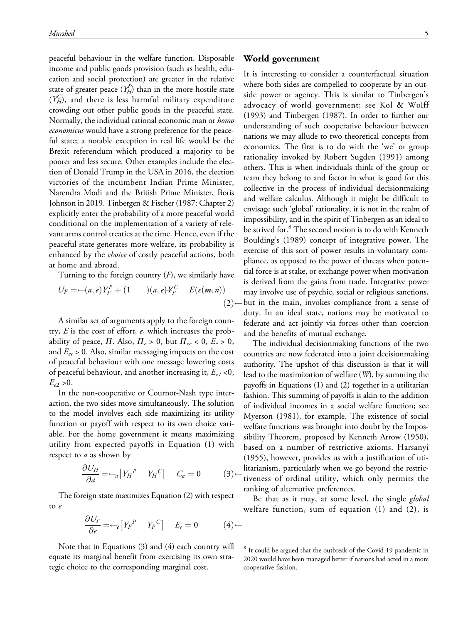peaceful behaviour in the welfare function. Disposable income and public goods provision (such as health, education and social protection) are greater in the relative state of greater peace  $(Y_H^P)$  than in the more hostile state  $(Y_H^C)$ , and there is less harmful military expenditure crowding out other public goods in the peaceful state. Normally, the individual rational economic man or homo economicus would have a strong preference for the peaceful state; a notable exception in real life would be the Brexit referendum which produced a majority to be poorer and less secure. Other examples include the election of Donald Trump in the USA in 2016, the election victories of the incumbent Indian Prime Minister, Narendra Modi and the British Prime Minister, Boris Johnson in 2019. Tinbergen & Fischer (1987: Chapter 2) explicitly enter the probability of a more peaceful world conditional on the implementation of a variety of relevant arms control treaties at the time. Hence, even if the peaceful state generates more welfare, its probability is enhanced by the *choice* of costly peaceful actions, both at home and abroad.

Turning to the foreign country  $(F)$ , we similarly have

$$
U_F = -(a,e)Y_F^P + (1) \qquad (a,e)Y_F^C \qquad E(e(\mathbf{m},n))
$$

$$
(2) \cdot
$$

A similar set of arguments apply to the foreign country,  $E$  is the cost of effort,  $e$ , which increases the probability of peace,  $\Pi$ . Also,  $\Pi_e > 0$ , but  $\Pi_{ee} < 0$ ,  $E_e > 0$ , and  $E_{ee} > 0$ . Also, similar messaging impacts on the cost of peaceful behaviour with one message lowering costs of peaceful behaviour, and another increasing it,  $E_{el}$  <0,  $E_{e2} > 0$ .

In the non-cooperative or Cournot-Nash type interaction, the two sides move simultaneously. The solution to the model involves each side maximizing its utility function or payoff with respect to its own choice variable. For the home government it means maximizing utility from expected payoffs in Equation (1) with respect to *a* as shown by

$$
\frac{\partial U_H}{\partial a} = -a \left[ Y_H^P \quad Y_H^C \right] \quad C_a = 0 \tag{3}
$$

The foreign state maximizes Equation (2) with respect to e

$$
\frac{\partial U_F}{\partial e} = -\epsilon \left[ Y_F{}^P \quad Y_F{}^C \right] \quad E_e = 0 \tag{4}
$$

Note that in Equations (3) and (4) each country will equate its marginal benefit from exercising its own strategic choice to the corresponding marginal cost.

#### World government

It is interesting to consider a counterfactual situation where both sides are compelled to cooperate by an outside power or agency. This is similar to Tinbergen's advocacy of world government; see Kol & Wolff (1993) and Tinbergen (1987). In order to further our understanding of such cooperative behaviour between nations we may allude to two theoretical concepts from economics. The first is to do with the 'we' or group rationality invoked by Robert Sugden (1991) among others. This is when individuals think of the group or team they belong to and factor in what is good for this collective in the process of individual decisionmaking and welfare calculus. Although it might be difficult to envisage such 'global' rationality, it is not in the realm of impossibility, and in the spirit of Tinbergen as an ideal to be strived for.<sup>8</sup> The second notion is to do with Kenneth Boulding's (1989) concept of integrative power. The exercise of this sort of power results in voluntary compliance, as opposed to the power of threats when potential force is at stake, or exchange power when motivation is derived from the gains from trade. Integrative power may involve use of psychic, social or religious sanctions, but in the main, invokes compliance from a sense of duty. In an ideal state, nations may be motivated to federate and act jointly via forces other than coercion and the benefits of mutual exchange.

The individual decisionmaking functions of the two countries are now federated into a joint decisionmaking authority. The upshot of this discussion is that it will lead to the maximization of welfare (W), by summing the payoffs in Equations (1) and (2) together in a utilitarian fashion. This summing of payoffs is akin to the addition of individual incomes in a social welfare function; see Myerson (1981), for example. The existence of social welfare functions was brought into doubt by the Impossibility Theorem, proposed by Kenneth Arrow (1950), based on a number of restrictive axioms. Harsanyi (1955), however, provides us with a justification of utilitarianism, particularly when we go beyond the restrictiveness of ordinal utility, which only permits the ranking of alternative preferences.

Be that as it may, at some level, the single global welfare function, sum of equation (1) and (2), is

<sup>8</sup> It could be argued that the outbreak of the Covid-19 pandemic in 2020 would have been managed better if nations had acted in a more cooperative fashion.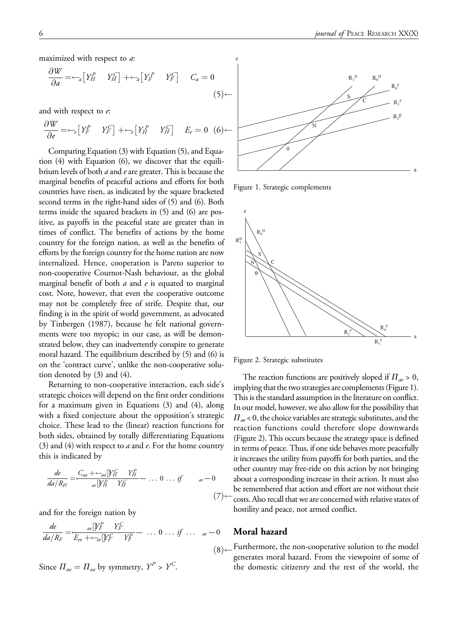maximized with respect to *a*:

$$
\frac{\partial W}{\partial a} = -a \left[ Y_H^P \quad Y_H^C \right] + -a \left[ Y_F^P \quad Y_F^C \right] \quad C_a = 0 \tag{5}
$$

and with respect to e:

$$
\frac{\partial W}{\partial e} = -\epsilon \left[ Y_F^P \quad Y_F^C \right] + -\epsilon \left[ Y_H^P \quad Y_H^C \right] \quad E_e = 0 \quad (6)
$$

Comparing Equation (3) with Equation (5), and Equation (4) with Equation (6), we discover that the equilibrium levels of both  $a$  and  $e$  are greater. This is because the marginal benefits of peaceful actions and efforts for both countries have risen, as indicated by the square bracketed second terms in the right-hand sides of (5) and (6). Both terms inside the squared brackets in (5) and (6) are positive, as payoffs in the peaceful state are greater than in times of conflict. The benefits of actions by the home country for the foreign nation, as well as the benefits of efforts by the foreign country for the home nation are now internalized. Hence, cooperation is Pareto superior to non-cooperative Cournot-Nash behaviour, as the global marginal benefit of both  $a$  and  $e$  is equated to marginal cost. Note, however, that even the cooperative outcome may not be completely free of strife. Despite that, our finding is in the spirit of world government, as advocated by Tinbergen (1987), because he felt national governments were too myopic; in our case, as will be demonstrated below, they can inadvertently conspire to generate moral hazard. The equilibrium described by (5) and (6) is on the 'contract curve', unlike the non-cooperative solution denoted by (3) and (4).

Returning to non-cooperative interaction, each side's strategic choices will depend on the first order conditions for a maximum given in Equations (3) and (4), along with a fixed conjecture about the opposition's strategic choice. These lead to the (linear) reaction functions for both sides, obtained by totally differentiating Equations (3) and (4) with respect to  $a$  and  $e$ . For the home country this is indicated by

$$
\frac{de}{da/R_H} = \frac{C_{aa} + \leftarrow_{aa} \left[ Y_H^C Y_H^P - \dots 0 \dots if \quad ae - 0 \right]}{ae \left[ Y_H^D Y_H^C - \dots \right]} \tag{7}
$$

and for the foreign nation by

$$
\frac{de}{da/R_F} = \frac{ae[\mathbf{Y}_F^P \quad Y_F^C}{E_{ee} + \frac{ce}{ce}[\mathbf{Y}_F^C \quad Y_F^P]} - \dots 0 \dots if \dots a_e - 0
$$

Since  $\Pi_{ae} = \Pi_{ea}$  by symmetry,  $Y^P > Y^C$ .



Figure 1. Strategic complements



Figure 2. Strategic substitutes

The reaction functions are positively sloped if  $\Pi_{ae} > 0$ , implying that the two strategies are complements (Figure 1). This is the standard assumption in the literature on conflict. In our model, however, we also allow for the possibility that  $\Pi_{ae}$  < 0, the choice variables are strategic substitutes, and the reaction functions could therefore slope downwards (Figure 2). This occurs because the strategy space is defined in terms of peace. Thus, if one side behaves more peacefully it increases the utility from payoffs for both parties, and the other country may free-ride on this action by not bringing about a corresponding increase in their action. It must also be remembered that action and effort are not without their costs. Also recall that we are concerned with relative states of hostility and peace, not armed conflict.

#### Moral hazard

 $(8)$  Furthermore, the non-cooperative solution to the model generates moral hazard. From the viewpoint of some of the domestic citizenry and the rest of the world, the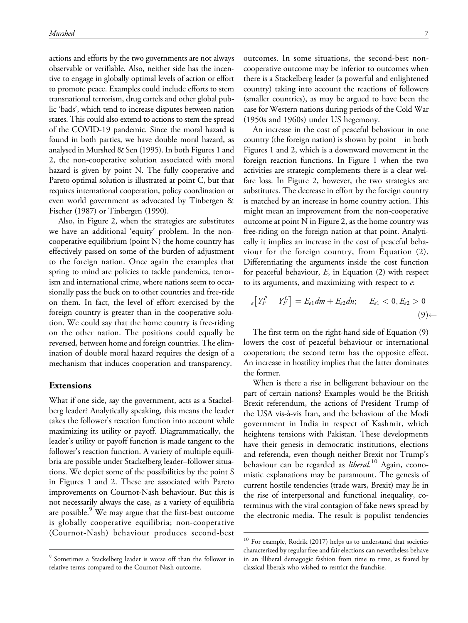actions and efforts by the two governments are not always observable or verifiable. Also, neither side has the incentive to engage in globally optimal levels of action or effort to promote peace. Examples could include efforts to stem transnational terrorism, drug cartels and other global public 'bads', which tend to increase disputes between nation states. This could also extend to actions to stem the spread of the COVID-19 pandemic. Since the moral hazard is found in both parties, we have double moral hazard, as analysed in Murshed & Sen (1995). In both Figures 1 and 2, the non-cooperative solution associated with moral hazard is given by point N. The fully cooperative and Pareto optimal solution is illustrated at point C, but that requires international cooperation, policy coordination or even world government as advocated by Tinbergen & Fischer (1987) or Tinbergen (1990).

Also, in Figure 2, when the strategies are substitutes we have an additional 'equity' problem. In the noncooperative equilibrium (point N) the home country has effectively passed on some of the burden of adjustment to the foreign nation. Once again the examples that spring to mind are policies to tackle pandemics, terrorism and international crime, where nations seem to occasionally pass the buck on to other countries and free-ride on them. In fact, the level of effort exercised by the foreign country is greater than in the cooperative solution. We could say that the home country is free-riding on the other nation. The positions could equally be reversed, between home and foreign countries. The elimination of double moral hazard requires the design of a mechanism that induces cooperation and transparency.

#### Extensions

What if one side, say the government, acts as a Stackelberg leader? Analytically speaking, this means the leader takes the follower's reaction function into account while maximizing its utility or payoff. Diagrammatically, the leader's utility or payoff function is made tangent to the follower's reaction function. A variety of multiple equilibria are possible under Stackelberg leader–follower situations. We depict some of the possibilities by the point S in Figures 1 and 2. These are associated with Pareto improvements on Cournot-Nash behaviour. But this is not necessarily always the case, as a variety of equilibria are possible.<sup>9</sup> We may argue that the first-best outcome is globally cooperative equilibria; non-cooperative (Cournot-Nash) behaviour produces second-best

outcomes. In some situations, the second-best noncooperative outcome may be inferior to outcomes when there is a Stackelberg leader (a powerful and enlightened country) taking into account the reactions of followers (smaller countries), as may be argued to have been the case for Western nations during periods of the Cold War (1950s and 1960s) under US hegemony.

 country (the foreign nation) is shown by point in both An increase in the cost of peaceful behaviour in one Figures 1 and 2, which is a downward movement in the foreign reaction functions. In Figure 1 when the two activities are strategic complements there is a clear welfare loss. In Figure 2, however, the two strategies are substitutes. The decrease in effort by the foreign country is matched by an increase in home country action. This might mean an improvement from the non-cooperative outcome at point N in Figure 2, as the home country was free-riding on the foreign nation at that point. Analytically it implies an increase in the cost of peaceful behaviour for the foreign country, from Equation (2). Differentiating the arguments inside the cost function for peaceful behaviour,  $E$ , in Equation (2) with respect to its arguments, and maximizing with respect to  $e$ :

$$
e[Y_F^P Y_F^C] = E_{e1}dm + E_{e2}dn; \quad E_{e1} < 0, E_{e2} > 0 \tag{9} \leftarrow
$$

The first term on the right-hand side of Equation (9) lowers the cost of peaceful behaviour or international cooperation; the second term has the opposite effect. An increase in hostility implies that the latter dominates the former.

When is there a rise in belligerent behaviour on the part of certain nations? Examples would be the British Brexit referendum, the actions of President Trump of the USA vis-a`-vis Iran, and the behaviour of the Modi government in India in respect of Kashmir, which heightens tensions with Pakistan. These developments have their genesis in democratic institutions, elections and referenda, even though neither Brexit nor Trump's behaviour can be regarded as liberal.<sup>10</sup> Again, economistic explanations may be paramount. The genesis of current hostile tendencies (trade wars, Brexit) may lie in the rise of interpersonal and functional inequality, coterminus with the viral contagion of fake news spread by the electronic media. The result is populist tendencies

<sup>9</sup> Sometimes a Stackelberg leader is worse off than the follower in relative terms compared to the Cournot-Nash outcome.

<sup>&</sup>lt;sup>10</sup> For example, Rodrik (2017) helps us to understand that societies characterized by regular free and fair elections can nevertheless behave in an illiberal demagogic fashion from time to time, as feared by classical liberals who wished to restrict the franchise.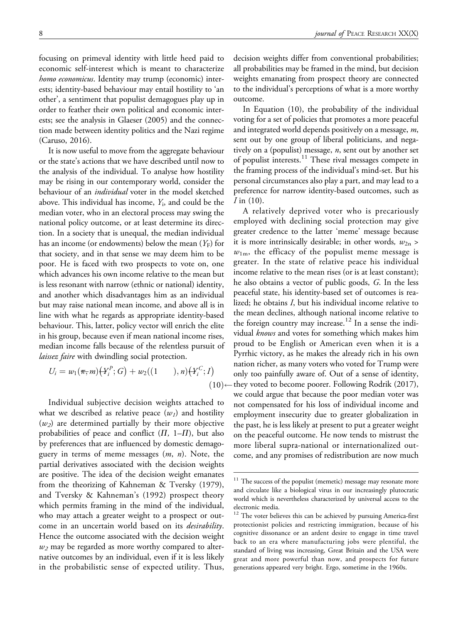focusing on primeval identity with little heed paid to economic self-interest which is meant to characterize homo economicus. Identity may trump (economic) interests; identity-based behaviour may entail hostility to 'an other', a sentiment that populist demagogues play up in order to feather their own political and economic interests; see the analysis in Glaeser (2005) and the connection made between identity politics and the Nazi regime (Caruso, 2016).

It is now useful to move from the aggregate behaviour or the state's actions that we have described until now to the analysis of the individual. To analyse how hostility may be rising in our contemporary world, consider the behaviour of an *individual* voter in the model sketched above. This individual has income,  $Y_i$ , and could be the median voter, who in an electoral process may swing the national policy outcome, or at least determine its direction. In a society that is unequal, the median individual has an income (or endowments) below the mean  $(Y_F)$  for that society, and in that sense we may deem him to be poor. He is faced with two prospects to vote on, one which advances his own income relative to the mean but is less resonant with narrow (ethnic or national) identity, and another which disadvantages him as an individual but may raise national mean income, and above all is in line with what he regards as appropriate identity-based behaviour. This, latter, policy vector will enrich the elite in his group, because even if mean national income rises, median income falls because of the relentless pursuit of *laissez faire* with dwindling social protection.

$$
U_i = w_1(\pi, m) \{ Y_i^P; G \} + w_2((1 \quad ), n) \{ Y_i^C; I \} \tag{10}
$$

Individual subjective decision weights attached to what we described as relative peace  $(w<sub>1</sub>)$  and hostility  $(w_2)$  are determined partially by their more objective probabilities of peace and conflict  $(\Pi, 1-\Pi)$ , but also by preferences that are influenced by domestic demagoguery in terms of meme messages  $(m, n)$ . Note, the partial derivatives associated with the decision weights are positive. The idea of the decision weight emanates from the theorizing of Kahneman & Tversky (1979), and Tversky & Kahneman's (1992) prospect theory which permits framing in the mind of the individual, who may attach a greater weight to a prospect or outcome in an uncertain world based on its *desirability*. Hence the outcome associated with the decision weight  $w_2$  may be regarded as more worthy compared to alternative outcomes by an individual, even if it is less likely in the probabilistic sense of expected utility. Thus,

decision weights differ from conventional probabilities; all probabilities may be framed in the mind, but decision weights emanating from prospect theory are connected to the individual's perceptions of what is a more worthy outcome.

In Equation (10), the probability of the individual voting for a set of policies that promotes a more peaceful and integrated world depends positively on a message, m, sent out by one group of liberal politicians, and negatively on a (populist) message,  $n$ , sent out by another set of populist interests.11 These rival messages compete in the framing process of the individual's mind-set. But his personal circumstances also play a part, and may lead to a preference for narrow identity-based outcomes, such as  $I$  in  $(10)$ .

A relatively deprived voter who is precariously employed with declining social protection may give greater credence to the latter 'meme' message because it is more intrinsically desirable; in other words,  $w_{2n}$  $w_{1m}$ , the efficacy of the populist meme message is greater. In the state of relative peace his individual income relative to the mean rises (or is at least constant); he also obtains a vector of public goods, G. In the less peaceful state, his identity-based set of outcomes is realized; he obtains I, but his individual income relative to the mean declines, although national income relative to the foreign country may increase.<sup>12</sup> In a sense the individual knows and votes for something which makes him proud to be English or American even when it is a Pyrrhic victory, as he makes the already rich in his own nation richer, as many voters who voted for Trump were only too painfully aware of. Out of a sense of identity, - they voted to become poorer. Following Rodrik (2017), we could argue that because the poor median voter was not compensated for his loss of individual income and employment insecurity due to greater globalization in the past, he is less likely at present to put a greater weight on the peaceful outcome. He now tends to mistrust the more liberal supra-national or internationalized outcome, and any promises of redistribution are now much

 $11$  The success of the populist (memetic) message may resonate more and circulate like a biological virus in our increasingly plutocratic world which is nevertheless characterized by universal access to the electronic media.

<sup>&</sup>lt;sup>12</sup> The voter believes this can be achieved by pursuing America-first protectionist policies and restricting immigration, because of his cognitive dissonance or an ardent desire to engage in time travel back to an era where manufacturing jobs were plentiful, the standard of living was increasing, Great Britain and the USA were great and more powerful than now, and prospects for future generations appeared very bright. Ergo, sometime in the 1960s.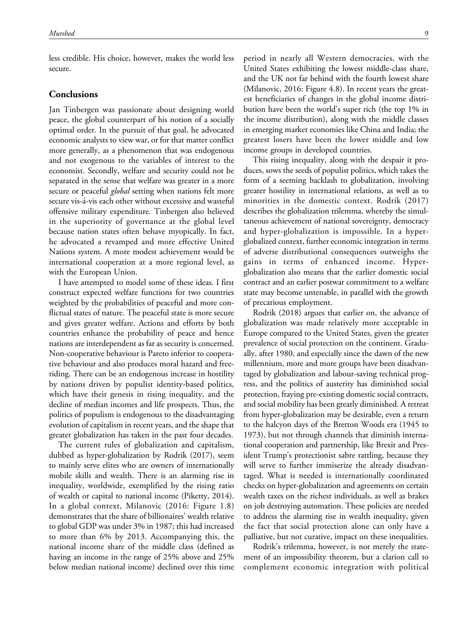less credible. His choice, however, makes the world less secure.

#### **Conclusions**

Jan Tinbergen was passionate about designing world peace, the global counterpart of his notion of a socially optimal order. In the pursuit of that goal, he advocated economic analysts to view war, or for that matter conflict more generally, as a phenomenon that was endogenous and not exogenous to the variables of interest to the economist. Secondly, welfare and security could not be separated in the sense that welfare was greater in a more secure or peaceful *global* setting when nations felt more secure vis-a-vis each other without excessive and wasteful offensive military expenditure. Tinbergen also believed in the superiority of governance at the global level because nation states often behave myopically. In fact, he advocated a revamped and more effective United Nations system. A more modest achievement would be international cooperation at a more regional level, as with the European Union.

I have attempted to model some of these ideas. I first construct expected welfare functions for two countries weighted by the probabilities of peaceful and more conflictual states of nature. The peaceful state is more secure and gives greater welfare. Actions and efforts by both countries enhance the probability of peace and hence nations are interdependent as far as security is concerned. Non-cooperative behaviour is Pareto inferior to cooperative behaviour and also produces moral hazard and freeriding. There can be an endogenous increase in hostility by nations driven by populist identity-based politics, which have their genesis in rising inequality, and the decline of median incomes and life prospects. Thus, the politics of populism is endogenous to the disadvantaging evolution of capitalism in recent years, and the shape that greater globalization has taken in the past four decades.

The current rules of globalization and capitalism, dubbed as hyper-globalization by Rodrik (2017), seem to mainly serve elites who are owners of internationally mobile skills and wealth. There is an alarming rise in inequality, worldwide, exemplified by the rising ratio of wealth or capital to national income (Piketty, 2014). In a global context, Milanovic (2016: Figure 1.8) demonstrates that the share of billionaires' wealth relative to global GDP was under 3% in 1987; this had increased to more than 6% by 2013. Accompanying this, the national income share of the middle class (defined as having an income in the range of 25% above and 25% below median national income) declined over this time

period in nearly all Western democracies, with the United States exhibiting the lowest middle-class share, and the UK not far behind with the fourth lowest share (Milanovic, 2016: Figure 4.8). In recent years the greatest beneficiaries of changes in the global income distribution have been the world's super rich (the top 1% in the income distribution), along with the middle classes in emerging market economies like China and India; the greatest losers have been the lower middle and low income groups in developed countries.

This rising inequality, along with the despair it produces, sows the seeds of populist politics, which takes the form of a seeming backlash to globalization, involving greater hostility in international relations, as well as to minorities in the domestic context. Rodrik (2017) describes the globalization trilemma, whereby the simultaneous achievement of national sovereignty, democracy and hyper-globalization is impossible. In a hyperglobalized context, further economic integration in terms of adverse distributional consequences outweighs the gains in terms of enhanced income. Hyperglobalization also means that the earlier domestic social contract and an earlier postwar commitment to a welfare state may become untenable, in parallel with the growth of precarious employment.

Rodrik (2018) argues that earlier on, the advance of globalization was made relatively more acceptable in Europe compared to the United States, given the greater prevalence of social protection on the continent. Gradually, after 1980, and especially since the dawn of the new millennium, more and more groups have been disadvantaged by globalization and labour-saving technical progress, and the politics of austerity has diminished social protection, fraying pre-existing domestic social contracts, and social mobility has been greatly diminished. A retreat from hyper-globalization may be desirable, even a return to the halcyon days of the Bretton Woods era (1945 to 1973), but not through channels that diminish international cooperation and partnership, like Brexit and President Trump's protectionist sabre rattling, because they will serve to further immiserize the already disadvantaged. What is needed is internationally coordinated checks on hyper-globalization and agreements on certain wealth taxes on the richest individuals, as well as brakes on job destroying automation. These policies are needed to address the alarming rise in wealth inequality, given the fact that social protection alone can only have a palliative, but not curative, impact on these inequalities.

Rodrik's trilemma, however, is not merely the statement of an impossibility theorem, but a clarion call to complement economic integration with political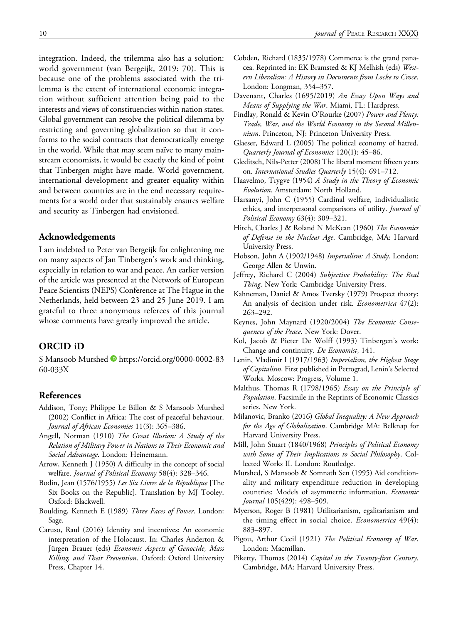integration. Indeed, the trilemma also has a solution: world government (van Bergeijk, 2019: 70). This is because one of the problems associated with the trilemma is the extent of international economic integration without sufficient attention being paid to the interests and views of constituencies within nation states. Global government can resolve the political dilemma by restricting and governing globalization so that it conforms to the social contracts that democratically emerge in the world. While that may seem naïve to many mainstream economists, it would be exactly the kind of point that Tinbergen might have made. World government, international development and greater equality within and between countries are in the end necessary requirements for a world order that sustainably ensures welfare and security as Tinbergen had envisioned.

#### Acknowledgements

I am indebted to Peter van Bergeijk for enlightening me on many aspects of Jan Tinbergen's work and thinking, especially in relation to war and peace. An earlier version of the article was presented at the Network of European Peace Scientists (NEPS) Conference at The Hague in the Netherlands, held between 23 and 25 June 2019. I am grateful to three anonymous referees of this journal whose comments have greatly improved the article.

#### ORCID iD

S Mansoob Murshed **b** [https://orcid.org/0000-0002-83](https://orcid.org/0000-0002-8360-033X) [60-033X](https://orcid.org/0000-0002-8360-033X)

#### References

- Addison, Tony; Philippe Le Billon & S Mansoob Murshed (2002) Conflict in Africa: The cost of peaceful behaviour. Journal of African Economies 11(3): 365–386.
- Angell, Norman (1910) The Great Illusion: A Study of the Relation of Military Power in Nations to Their Economic and Social Advantage. London: Heinemann.
- Arrow, Kenneth J (1950) A difficulty in the concept of social welfare. Journal of Political Economy 58(4): 328–346.
- Bodin, Jean (1576/1955) Les Six Livres de la République [The Six Books on the Republic]. Translation by MJ Tooley. Oxford: Blackwell.
- Boulding, Kenneth E (1989) Three Faces of Power. London: Sage.
- Caruso, Raul (2016) Identity and incentives: An economic interpretation of the Holocaust. In: Charles Anderton & Jürgen Brauer (eds) Economic Aspects of Genocide, Mass Killing, and Their Prevention. Oxford: Oxford University Press, Chapter 14.
- Cobden, Richard (1835/1978) Commerce is the grand panacea. Reprinted in: EK Bramsted & KJ Melhish (eds) Western Liberalism: A History in Documents from Locke to Croce. London: Longman, 354–357.
- Davenant, Charles (1695/2019) An Essay Upon Ways and Means of Supplying the War. Miami, FL: Hardpress.
- Findlay, Ronald & Kevin O'Rourke (2007) Power and Plenty: Trade, War, and the World Economy in the Second Millennium. Princeton, NJ: Princeton University Press.
- Glaeser, Edward L (2005) The political economy of hatred. Quarterly Journal of Economics 120(1): 45–86.
- Gleditsch, Nils-Petter (2008) The liberal moment fifteen years on. International Studies Quarterly 15(4): 691–712.
- Haavelmo, Trygve (1954) A Study in the Theory of Economic Evolution. Amsterdam: North Holland.
- Harsanyi, John C (1955) Cardinal welfare, individualistic ethics, and interpersonal comparisons of utility. Journal of Political Economy 63(4): 309–321.
- Hitch, Charles J & Roland N McKean (1960) The Economics of Defense in the Nuclear Age. Cambridge, MA: Harvard University Press.
- Hobson, John A (1902/1948) Imperialism: A Study. London: George Allen & Unwin.
- Jeffrey, Richard C (2004) Subjective Probability: The Real Thing. New York: Cambridge University Press.
- Kahneman, Daniel & Amos Tversky (1979) Prospect theory: An analysis of decision under risk. Econometrica 47(2): 263–292.
- Keynes, John Maynard (1920/2004) The Economic Consequences of the Peace. New York: Dover.
- Kol, Jacob & Pieter De Wolff (1993) Tinbergen's work: Change and continuity. De Economist, 141.
- Lenin, Vladimir I (1917/1963) Imperialism, the Highest Stage of Capitalism. First published in Petrograd, Lenin's Selected Works. Moscow: Progress, Volume 1.
- Malthus, Thomas R (1798/1965) Essay on the Principle of Population. Facsimile in the Reprints of Economic Classics series. New York.
- Milanovic, Branko (2016) Global Inequality: A New Approach for the Age of Globalization. Cambridge MA: Belknap for Harvard University Press.
- Mill, John Stuart (1840/1968) Principles of Political Economy with Some of Their Implications to Social Philosophy. Collected Works II. London: Routledge.
- Murshed, S Mansoob & Somnath Sen (1995) Aid conditionality and military expenditure reduction in developing countries: Models of asymmetric information. Economic Journal 105(429): 498–509.
- Myerson, Roger B (1981) Utilitarianism, egalitarianism and the timing effect in social choice. Econometrica 49(4): 883–897.
- Pigou, Arthur Cecil (1921) The Political Economy of War. London: Macmillan.
- Piketty, Thomas (2014) Capital in the Twenty-first Century. Cambridge, MA: Harvard University Press.